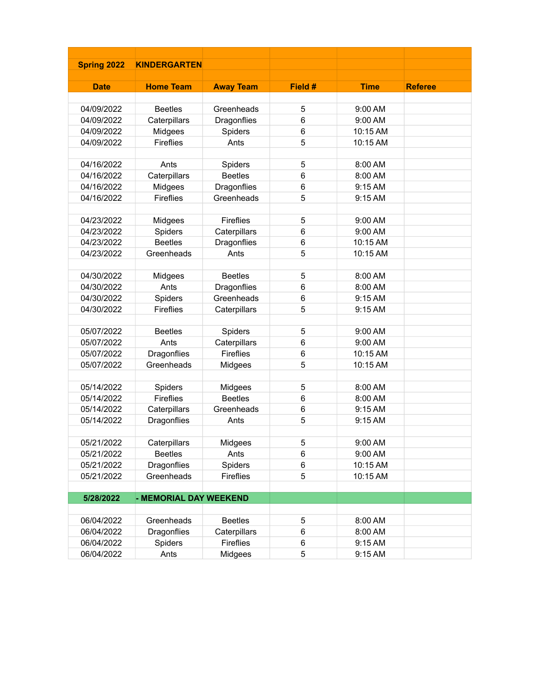| <b>Spring 2022</b> | <b>KINDERGARTEN</b>    |                  |         |             |                |
|--------------------|------------------------|------------------|---------|-------------|----------------|
|                    |                        |                  |         |             |                |
| <b>Date</b>        | <b>Home Team</b>       | <b>Away Team</b> | Field # | <b>Time</b> | <b>Referee</b> |
|                    |                        |                  |         |             |                |
| 04/09/2022         | <b>Beetles</b>         | Greenheads       | 5       | 9:00 AM     |                |
| 04/09/2022         | Caterpillars           | Dragonflies      | 6       | 9:00 AM     |                |
| 04/09/2022         | Midgees                | Spiders          | 6       | 10:15 AM    |                |
| 04/09/2022         | Fireflies              | Ants             | 5       | 10:15 AM    |                |
|                    |                        |                  |         |             |                |
| 04/16/2022         | Ants                   | Spiders          | 5       | 8:00 AM     |                |
| 04/16/2022         | Caterpillars           | <b>Beetles</b>   | 6       | 8:00 AM     |                |
| 04/16/2022         | Midgees                | Dragonflies      | 6       | 9:15 AM     |                |
| 04/16/2022         | <b>Fireflies</b>       | Greenheads       | 5       | 9:15 AM     |                |
|                    |                        |                  |         |             |                |
| 04/23/2022         | Midgees                | Fireflies        | 5       | 9:00 AM     |                |
| 04/23/2022         | Spiders                | Caterpillars     | 6       | 9:00 AM     |                |
| 04/23/2022         | <b>Beetles</b>         | Dragonflies      | 6       | 10:15 AM    |                |
| 04/23/2022         | Greenheads             | Ants             | 5       | 10:15 AM    |                |
|                    |                        |                  |         |             |                |
| 04/30/2022         | Midgees                | <b>Beetles</b>   | 5       | 8:00 AM     |                |
| 04/30/2022         | Ants                   | Dragonflies      | 6       | 8:00 AM     |                |
| 04/30/2022         | Spiders                | Greenheads       | 6       | 9:15 AM     |                |
| 04/30/2022         | <b>Fireflies</b>       | Caterpillars     | 5       | 9:15 AM     |                |
| 05/07/2022         | <b>Beetles</b>         | Spiders          | 5       | 9:00 AM     |                |
| 05/07/2022         | Ants                   | Caterpillars     | 6       | 9:00 AM     |                |
| 05/07/2022         | Dragonflies            | Fireflies        | 6       | 10:15 AM    |                |
| 05/07/2022         | Greenheads             | Midgees          | 5       | 10:15 AM    |                |
|                    |                        |                  |         |             |                |
| 05/14/2022         | Spiders                | Midgees          | 5       | 8:00 AM     |                |
| 05/14/2022         | Fireflies              | <b>Beetles</b>   | 6       | 8:00 AM     |                |
| 05/14/2022         | Caterpillars           | Greenheads       | 6       | 9:15 AM     |                |
| 05/14/2022         | Dragonflies            | Ants             | 5       | 9:15 AM     |                |
|                    |                        |                  |         |             |                |
| 05/21/2022         | Caterpillars           | Midgees          | 5       | 9:00 AM     |                |
| 05/21/2022         | <b>Beetles</b>         | Ants             | 6       | 9:00 AM     |                |
| 05/21/2022         | Dragonflies            | Spiders          | 6       | 10:15 AM    |                |
| 05/21/2022         | Greenheads             | Fireflies        | 5       | 10:15 AM    |                |
|                    |                        |                  |         |             |                |
| 5/28/2022          | - MEMORIAL DAY WEEKEND |                  |         |             |                |
|                    |                        |                  |         |             |                |
| 06/04/2022         | Greenheads             | <b>Beetles</b>   | 5       | 8:00 AM     |                |
| 06/04/2022         | Dragonflies            | Caterpillars     | 6       | 8:00 AM     |                |
| 06/04/2022         | Spiders                | Fireflies        | 6       | 9:15 AM     |                |
| 06/04/2022         | Ants                   | Midgees          | 5       | 9:15 AM     |                |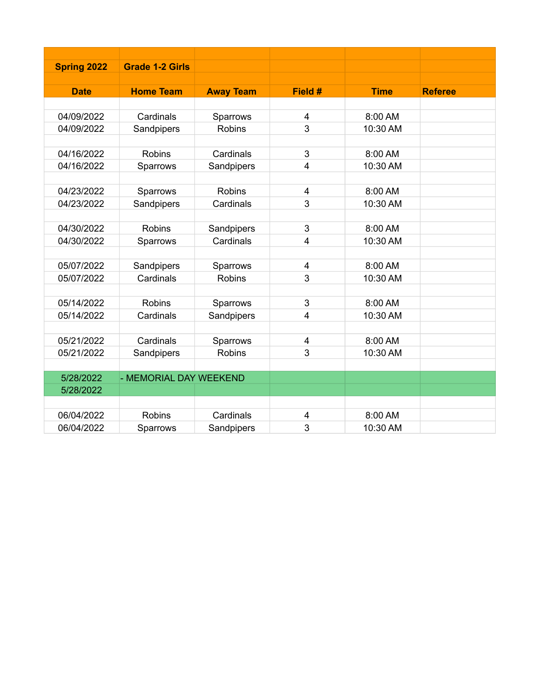| <b>Spring 2022</b> | <b>Grade 1-2 Girls</b> |                  |                         |             |                |
|--------------------|------------------------|------------------|-------------------------|-------------|----------------|
|                    |                        |                  |                         |             |                |
| <b>Date</b>        | <b>Home Team</b>       | <b>Away Team</b> | Field #                 | <b>Time</b> | <b>Referee</b> |
|                    |                        |                  |                         |             |                |
| 04/09/2022         | Cardinals              | Sparrows         | 4                       | 8:00 AM     |                |
| 04/09/2022         | Sandpipers             | <b>Robins</b>    | 3                       | 10:30 AM    |                |
|                    |                        |                  |                         |             |                |
| 04/16/2022         | <b>Robins</b>          | Cardinals        | 3                       | 8:00 AM     |                |
| 04/16/2022         | Sparrows               | Sandpipers       | 4                       | 10:30 AM    |                |
|                    |                        |                  |                         |             |                |
| 04/23/2022         | Sparrows               | <b>Robins</b>    | $\overline{4}$          | 8:00 AM     |                |
| 04/23/2022         | Sandpipers             | Cardinals        | 3                       | 10:30 AM    |                |
|                    |                        |                  |                         |             |                |
| 04/30/2022         | <b>Robins</b>          | Sandpipers       | 3                       | 8:00 AM     |                |
| 04/30/2022         | Sparrows               | Cardinals        | $\overline{4}$          | 10:30 AM    |                |
|                    |                        |                  |                         |             |                |
| 05/07/2022         | Sandpipers             | Sparrows         | $\overline{4}$          | 8:00 AM     |                |
| 05/07/2022         | Cardinals              | <b>Robins</b>    | 3                       | 10:30 AM    |                |
|                    |                        |                  |                         |             |                |
| 05/14/2022         | <b>Robins</b>          | Sparrows         | 3                       | 8:00 AM     |                |
| 05/14/2022         | Cardinals              | Sandpipers       | $\overline{4}$          | 10:30 AM    |                |
|                    |                        |                  |                         |             |                |
| 05/21/2022         | Cardinals              | Sparrows         | 4                       | 8:00 AM     |                |
| 05/21/2022         | Sandpipers             | <b>Robins</b>    | 3                       | 10:30 AM    |                |
|                    |                        |                  |                         |             |                |
| 5/28/2022          | - MEMORIAL DAY WEEKEND |                  |                         |             |                |
| 5/28/2022          |                        |                  |                         |             |                |
|                    |                        |                  |                         |             |                |
| 06/04/2022         | <b>Robins</b>          | Cardinals        | $\overline{\mathbf{4}}$ | 8:00 AM     |                |
| 06/04/2022         | Sparrows               | Sandpipers       | 3                       | 10:30 AM    |                |